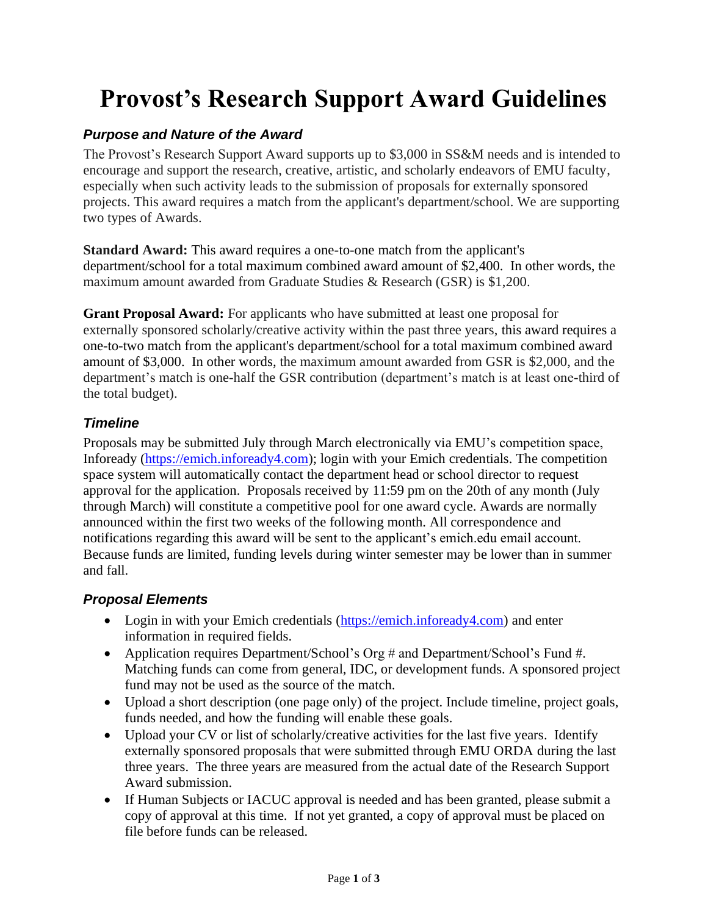# **Provost's Research Support Award Guidelines**

## *Purpose and Nature of the Award*

The Provost's Research Support Award supports up to \$3,000 in SS&M needs and is intended to encourage and support the research, creative, artistic, and scholarly endeavors of EMU faculty, especially when such activity leads to the submission of proposals for externally sponsored projects. This award requires a match from the applicant's department/school. We are supporting two types of Awards.

**Standard Award:** This award requires a one-to-one match from the applicant's department/school for a total maximum combined award amount of \$2,400. In other words, the maximum amount awarded from Graduate Studies & Research (GSR) is \$1,200.

**Grant Proposal Award:** For applicants who have submitted at least one proposal for externally sponsored scholarly/creative activity within the past three years, this award requires a one-to-two match from the applicant's department/school for a total maximum combined award amount of \$3,000. In other words, the maximum amount awarded from GSR is \$2,000, and the department's match is one-half the GSR contribution (department's match is at least one-third of the total budget).

#### *Timeline*

Proposals may be submitted July through March electronically via EMU's competition space, Infoready [\(https://emich.infoready4.com\)](https://emich.infoready4.com/); login with your Emich credentials. The competition space system will automatically contact the department head or school director to request approval for the application. Proposals received by 11:59 pm on the 20th of any month (July through March) will constitute a competitive pool for one award cycle. Awards are normally announced within the first two weeks of the following month. All correspondence and notifications regarding this award will be sent to the applicant's emich.edu email account. Because funds are limited, funding levels during winter semester may be lower than in summer and fall.

## *Proposal Elements*

- Login in with your Emich credentials [\(https://emich.infoready4.com\)](https://emich.infoready4.com/) and enter information in required fields.
- Application requires Department/School's Org # and Department/School's Fund #. Matching funds can come from general, IDC, or development funds. A sponsored project fund may not be used as the source of the match.
- Upload a short description (one page only) of the project. Include timeline, project goals, funds needed, and how the funding will enable these goals.
- Upload your CV or list of scholarly/creative activities for the last five years. Identify externally sponsored proposals that were submitted through EMU ORDA during the last three years. The three years are measured from the actual date of the Research Support Award submission.
- If Human Subjects or IACUC approval is needed and has been granted, please submit a copy of approval at this time. If not yet granted, a copy of approval must be placed on file before funds can be released.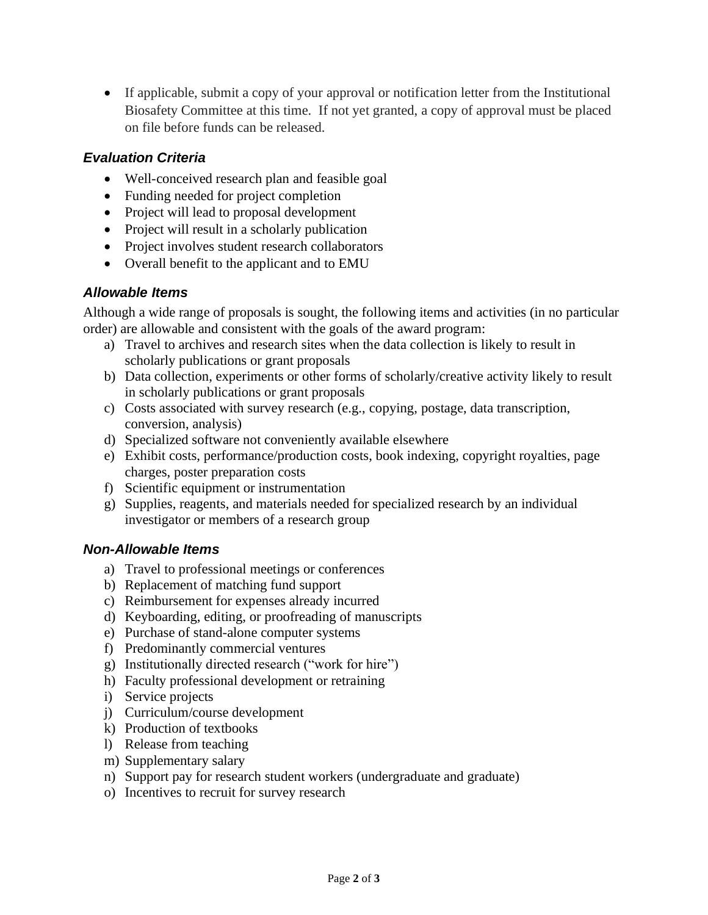• If applicable, submit a copy of your approval or notification letter from the Institutional Biosafety Committee at this time. If not yet granted, a copy of approval must be placed on file before funds can be released.

## *Evaluation Criteria*

- Well-conceived research plan and feasible goal
- Funding needed for project completion
- Project will lead to proposal development
- Project will result in a scholarly publication
- Project involves student research collaborators
- Overall benefit to the applicant and to EMU

## *Allowable Items*

Although a wide range of proposals is sought, the following items and activities (in no particular order) are allowable and consistent with the goals of the award program:

- a) Travel to archives and research sites when the data collection is likely to result in scholarly publications or grant proposals
- b) Data collection, experiments or other forms of scholarly/creative activity likely to result in scholarly publications or grant proposals
- c) Costs associated with survey research (e.g., copying, postage, data transcription, conversion, analysis)
- d) Specialized software not conveniently available elsewhere
- e) Exhibit costs, performance/production costs, book indexing, copyright royalties, page charges, poster preparation costs
- f) Scientific equipment or instrumentation
- g) Supplies, reagents, and materials needed for specialized research by an individual investigator or members of a research group

#### *Non-Allowable Items*

- a) Travel to professional meetings or conferences
- b) Replacement of matching fund support
- c) Reimbursement for expenses already incurred
- d) Keyboarding, editing, or proofreading of manuscripts
- e) Purchase of stand-alone computer systems
- f) Predominantly commercial ventures
- g) Institutionally directed research ("work for hire")
- h) Faculty professional development or retraining
- i) Service projects
- j) Curriculum/course development
- k) Production of textbooks
- l) Release from teaching
- m) Supplementary salary
- n) Support pay for research student workers (undergraduate and graduate)
- o) Incentives to recruit for survey research